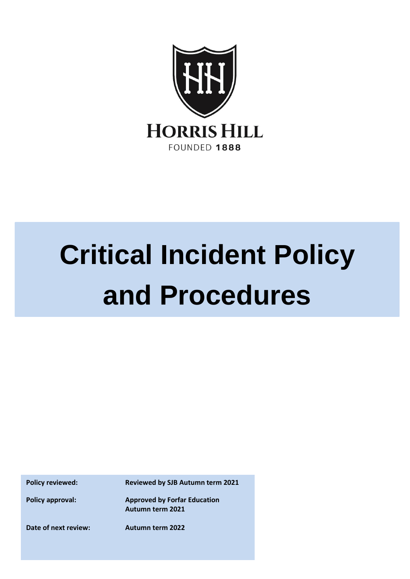

# **Critical Incident Policy and Procedures**

**Policy reviewed: Reviewed by SJB Autumn term 2021**

**Policy approval: Approved by Forfar Education Autumn term 2021**

**Date of next review: Autumn term 2022**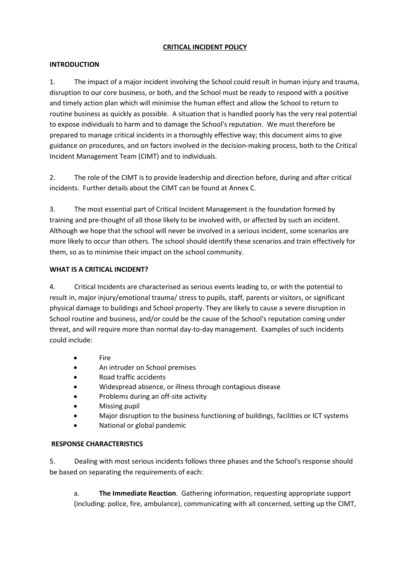# **CRITICAL INCIDENT POLICY**

### **INTRODUCTION**

1. The impact of a major incident involving the School could result in human injury and trauma, disruption to our core business, or both, and the School must be ready to respond with a positive and timely action plan which will minimise the human effect and allow the School to return to routine business as quickly as possible. A situation that is handled poorly has the very real potential to expose individuals to harm and to damage the School's reputation. We must therefore be prepared to manage critical incidents in a thoroughly effective way; this document aims to give guidance on procedures, and on factors involved in the decision-making process, both to the Critical Incident Management Team (CIMT) and to individuals.

2. The role of the CIMT is to provide leadership and direction before, during and after critical incidents. Further details about the CIMT can be found at Annex C.

3. The most essential part of Critical Incident Management is the foundation formed by training and pre-thought of all those likely to be involved with, or affected by such an incident. Although we hope that the school will never be involved in a serious incident, some scenarios are more likely to occur than others. The school should identify these scenarios and train effectively for them, so as to minimise their impact on the school community.

### **WHAT IS A CRITICAL INCIDENT?**

4. Critical Incidents are characterised as serious events leading to, or with the potential to result in, major injury/emotional trauma/ stress to pupils, staff, parents or visitors, or significant physical damage to buildings and School property. They are likely to cause a severe disruption in School routine and business, and/or could be the cause of the School's reputation coming under threat, and will require more than normal day-to-day management. Examples of such incidents could include:

- Fire
- An intruder on School premises
- Road traffic accidents
- Widespread absence, or illness through contagious disease
- Problems during an off-site activity
- Missing pupil
- Major disruption to the business functioning of buildings, facilities or ICT systems
- National or global pandemic

# **RESPONSE CHARACTERISTICS**

5. Dealing with most serious incidents follows three phases and the School's response should be based on separating the requirements of each:

a. **The Immediate Reaction**. Gathering information, requesting appropriate support (including: police, fire, ambulance), communicating with all concerned, setting up the CIMT,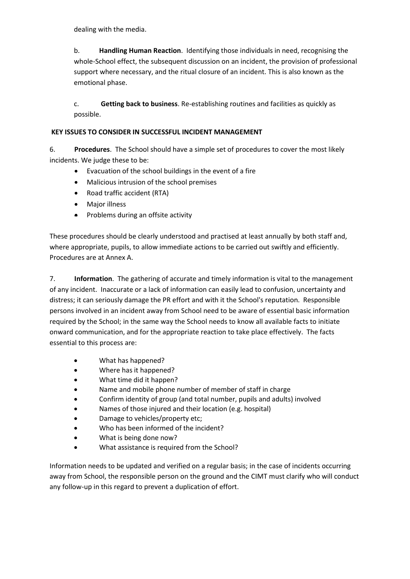dealing with the media.

b. **Handling Human Reaction**. Identifying those individuals in need, recognising the whole-School effect, the subsequent discussion on an incident, the provision of professional support where necessary, and the ritual closure of an incident. This is also known as the emotional phase.

c. **Getting back to business**. Re-establishing routines and facilities as quickly as possible.

# **KEY ISSUES TO CONSIDER IN SUCCESSFUL INCIDENT MANAGEMENT**

6. **Procedures**. The School should have a simple set of procedures to cover the most likely incidents. We judge these to be:

- Evacuation of the school buildings in the event of a fire
- Malicious intrusion of the school premises
- Road traffic accident (RTA)
- Major illness
- Problems during an offsite activity

These procedures should be clearly understood and practised at least annually by both staff and, where appropriate, pupils, to allow immediate actions to be carried out swiftly and efficiently. Procedures are at Annex A.

7. **Information**. The gathering of accurate and timely information is vital to the management of any incident. Inaccurate or a lack of information can easily lead to confusion, uncertainty and distress; it can seriously damage the PR effort and with it the School's reputation. Responsible persons involved in an incident away from School need to be aware of essential basic information required by the School; in the same way the School needs to know all available facts to initiate onward communication, and for the appropriate reaction to take place effectively. The facts essential to this process are:

- What has happened?
- Where has it happened?
- What time did it happen?
- Name and mobile phone number of member of staff in charge
- Confirm identity of group (and total number, pupils and adults) involved
- Names of those injured and their location (e.g. hospital)
- Damage to vehicles/property etc;
- Who has been informed of the incident?
- What is being done now?
- What assistance is required from the School?

Information needs to be updated and verified on a regular basis; in the case of incidents occurring away from School, the responsible person on the ground and the CIMT must clarify who will conduct any follow-up in this regard to prevent a duplication of effort.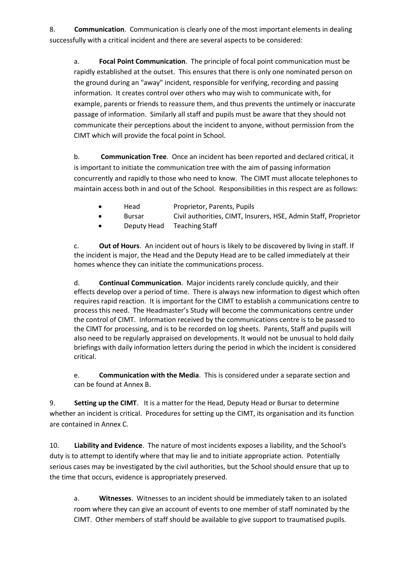8. **Communication**. Communication is clearly one of the most important elements in dealing successfully with a critical incident and there are several aspects to be considered:

a. **Focal Point Communication**. The principle of focal point communication must be rapidly established at the outset. This ensures that there is only one nominated person on the ground during an "away" incident, responsible for verifying, recording and passing information. It creates control over others who may wish to communicate with, for example, parents or friends to reassure them, and thus prevents the untimely or inaccurate passage of information. Similarly all staff and pupils must be aware that they should not communicate their perceptions about the incident to anyone, without permission from the CIMT which will provide the focal point in School.

b. **Communication Tree**. Once an incident has been reported and declared critical, it is important to initiate the communication tree with the aim of passing information concurrently and rapidly to those who need to know. The CIMT must allocate telephones to maintain access both in and out of the School. Responsibilities in this respect are as follows:

- Head Proprietor, Parents, Pupils
- Bursar Civil authorities, CIMT, Insurers, HSE, Admin Staff, Proprietor
- Deputy Head Teaching Staff

c. **Out of Hours**. An incident out of hours is likely to be discovered by living in staff. If the incident is major, the Head and the Deputy Head are to be called immediately at their homes whence they can initiate the communications process.

d. **Continual Communication**. Major incidents rarely conclude quickly, and their effects develop over a period of time. There is always new information to digest which often requires rapid reaction. It is important for the CIMT to establish a communications centre to process this need. The Headmaster's Study will become the communications centre under the control of CIMT. Information received by the communications centre is to be passed to the CIMT for processing, and is to be recorded on log sheets. Parents, Staff and pupils will also need to be regularly appraised on developments. It would not be unusual to hold daily briefings with daily information letters during the period in which the incident is considered critical.

e. **Communication with the Media**. This is considered under a separate section and can be found at Annex B.

9. **Setting up the CIMT**. It is a matter for the Head, Deputy Head or Bursar to determine whether an incident is critical. Procedures for setting up the CIMT, its organisation and its function are contained in Annex C.

10. **Liability and Evidence**. The nature of most incidents exposes a liability, and the School's duty is to attempt to identify where that may lie and to initiate appropriate action. Potentially serious cases may be investigated by the civil authorities, but the School should ensure that up to the time that occurs, evidence is appropriately preserved.

a. **Witnesses**. Witnesses to an incident should be immediately taken to an isolated room where they can give an account of events to one member of staff nominated by the CIMT. Other members of staff should be available to give support to traumatised pupils.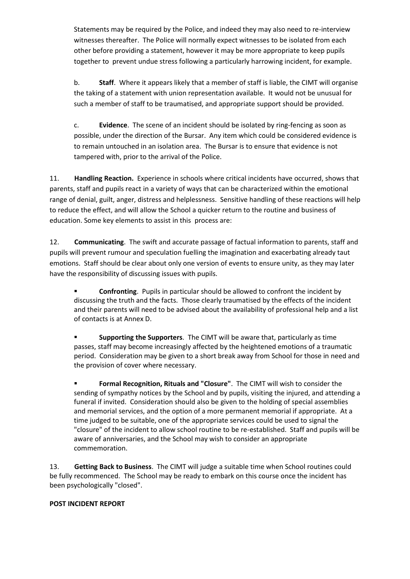Statements may be required by the Police, and indeed they may also need to re-interview witnesses thereafter. The Police will normally expect witnesses to be isolated from each other before providing a statement, however it may be more appropriate to keep pupils together to prevent undue stress following a particularly harrowing incident, for example.

b. **Staff**. Where it appears likely that a member of staff is liable, the CIMT will organise the taking of a statement with union representation available. It would not be unusual for such a member of staff to be traumatised, and appropriate support should be provided.

c. **Evidence**. The scene of an incident should be isolated by ring-fencing as soon as possible, under the direction of the Bursar. Any item which could be considered evidence is to remain untouched in an isolation area. The Bursar is to ensure that evidence is not tampered with, prior to the arrival of the Police.

11. **Handling Reaction.** Experience in schools where critical incidents have occurred, shows that parents, staff and pupils react in a variety of ways that can be characterized within the emotional range of denial, guilt, anger, distress and helplessness. Sensitive handling of these reactions will help to reduce the effect, and will allow the School a quicker return to the routine and business of education. Some key elements to assist in this process are:

12. **Communicating**. The swift and accurate passage of factual information to parents, staff and pupils will prevent rumour and speculation fuelling the imagination and exacerbating already taut emotions. Staff should be clear about only one version of events to ensure unity, as they may later have the responsibility of discussing issues with pupils.

**Confronting**. Pupils in particular should be allowed to confront the incident by discussing the truth and the facts. Those clearly traumatised by the effects of the incident and their parents will need to be advised about the availability of professional help and a list of contacts is at Annex D.

**Supporting the Supporters.** The CIMT will be aware that, particularly as time passes, staff may become increasingly affected by the heightened emotions of a traumatic period. Consideration may be given to a short break away from School for those in need and the provision of cover where necessary.

▪ **Formal Recognition, Rituals and "Closure"**. The CIMT will wish to consider the sending of sympathy notices by the School and by pupils, visiting the injured, and attending a funeral if invited. Consideration should also be given to the holding of special assemblies and memorial services, and the option of a more permanent memorial if appropriate. At a time judged to be suitable, one of the appropriate services could be used to signal the "closure" of the incident to allow school routine to be re-established. Staff and pupils will be aware of anniversaries, and the School may wish to consider an appropriate commemoration.

13. **Getting Back to Business**. The CIMT will judge a suitable time when School routines could be fully recommenced. The School may be ready to embark on this course once the incident has been psychologically "closed".

# **POST INCIDENT REPORT**